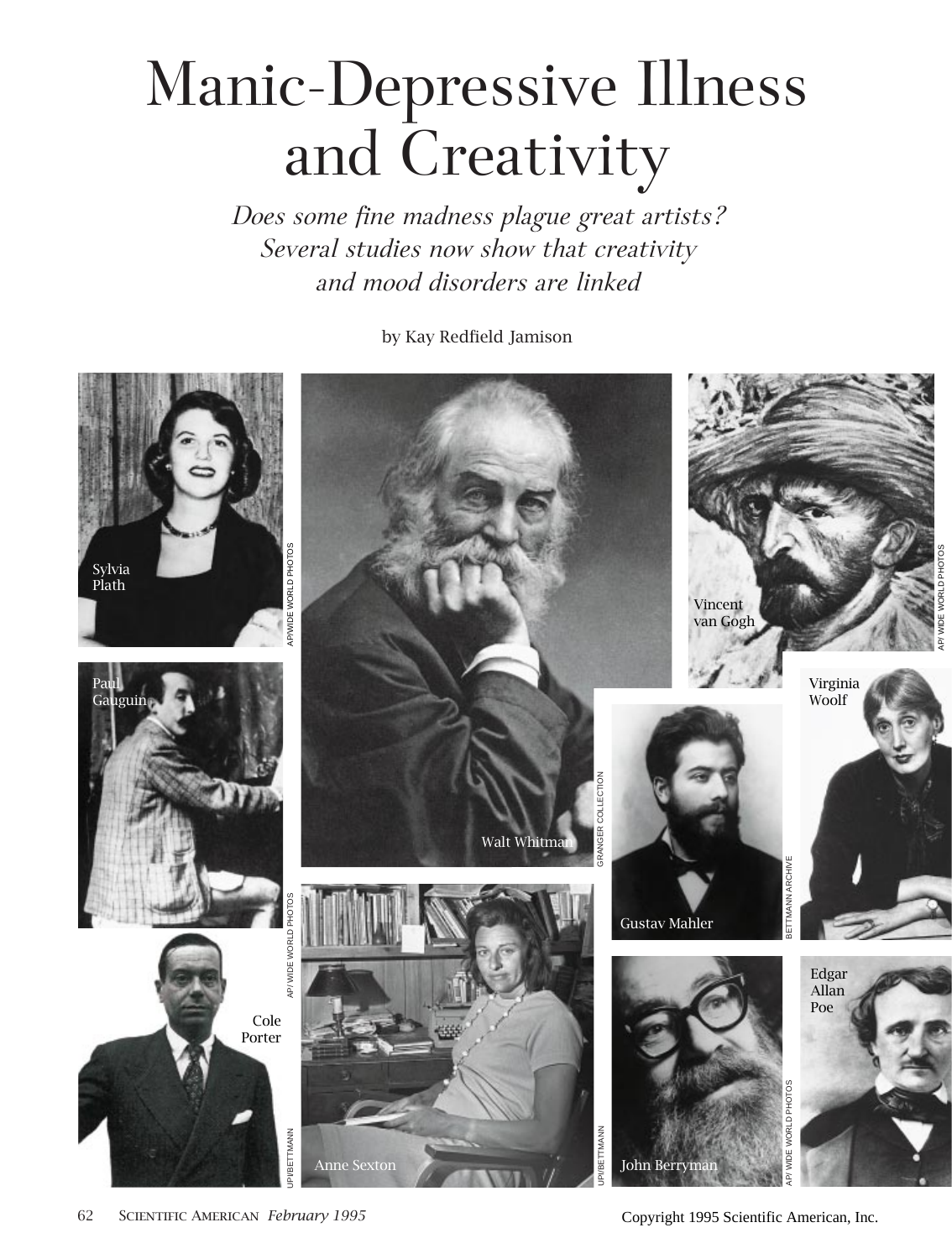# Manic-Depressive Illness and Creativity

*Does some fine madness plague great artists? Several studies now show that creativity and mood disorders are linked*

by Kay Redfield Jamison

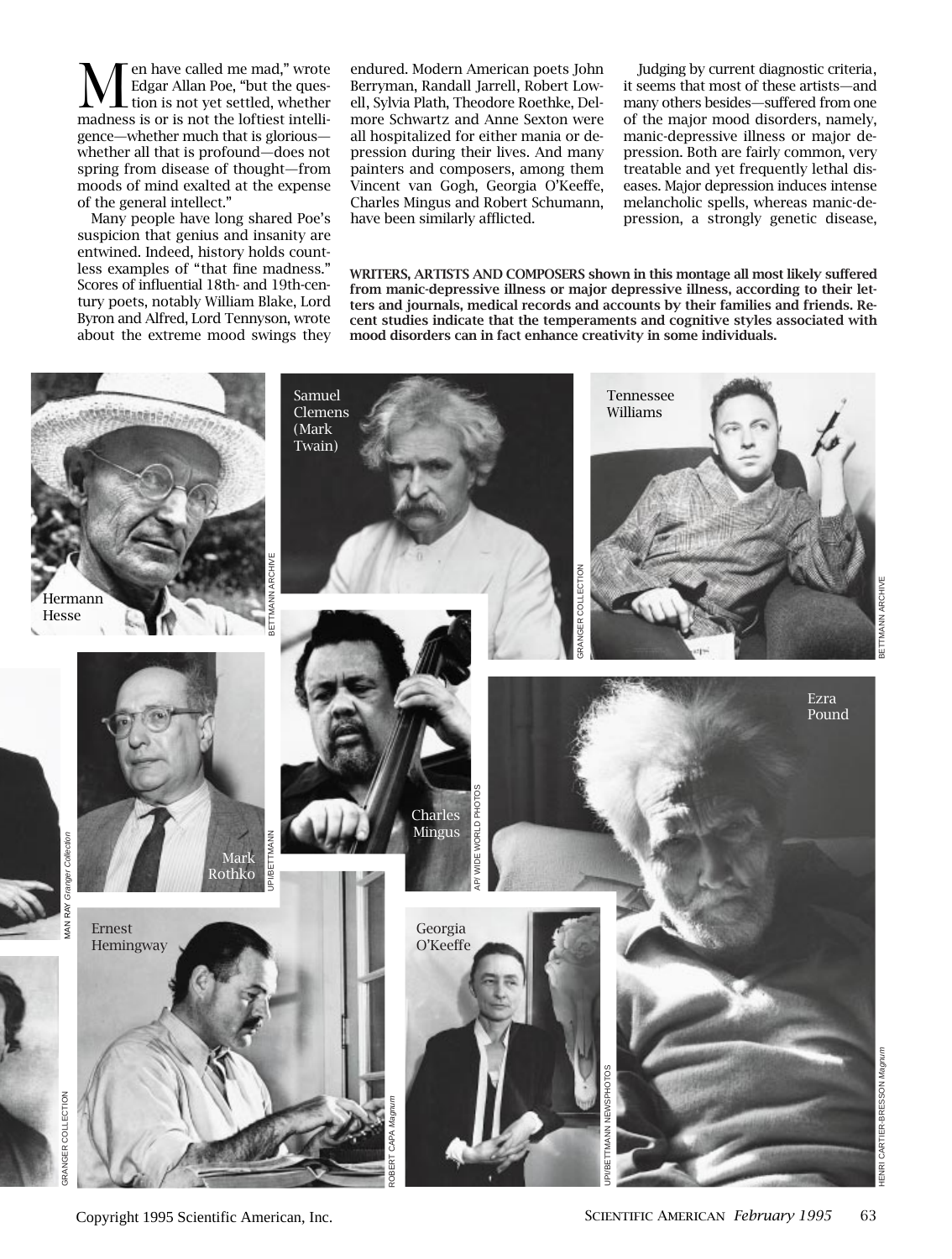Men have called me mad," wrote madness is or is not the loftiest intelli-Edgar Allan Poe, "but the question is not yet settled, whether gence—whether much that is glorious whether all that is profound—does not spring from disease of thought—from moods of mind exalted at the expense of the general intellect."

Many people have long shared Poe's suspicion that genius and insanity are entwined. Indeed, history holds countless examples of "that fine madness." Scores of influential 18th- and 19th-century poets, notably William Blake, Lord Byron and Alfred, Lord Tennyson, wrote about the extreme mood swings they endured. Modern American poets John Berryman, Randall Jarrell, Robert Lowell, Sylvia Plath, Theodore Roethke, Delmore Schwartz and Anne Sexton were all hospitalized for either mania or depression during their lives. And many painters and composers, among them Vincent van Gogh, Georgia O'Keeffe, Charles Mingus and Robert Schumann, have been similarly afflicted.

Judging by current diagnostic criteria, it seems that most of these artists—and many others besides—suffered from one of the major mood disorders, namely, manic-depressive illness or major depression. Both are fairly common, very treatable and yet frequently lethal diseases. Major depression induces intense melancholic spells, whereas manic-depression, a strongly genetic disease,

WRITERS, ARTISTS AND COMPOSERS shown in this montage all most likely suffered from manic-depressive illness or major depressive illness, according to their letters and journals, medical records and accounts by their families and friends. Recent studies indicate that the temperaments and cognitive styles associated with mood disorders can in fact enhance creativity in some individuals.



Copyright 1995 Scientific American, Inc.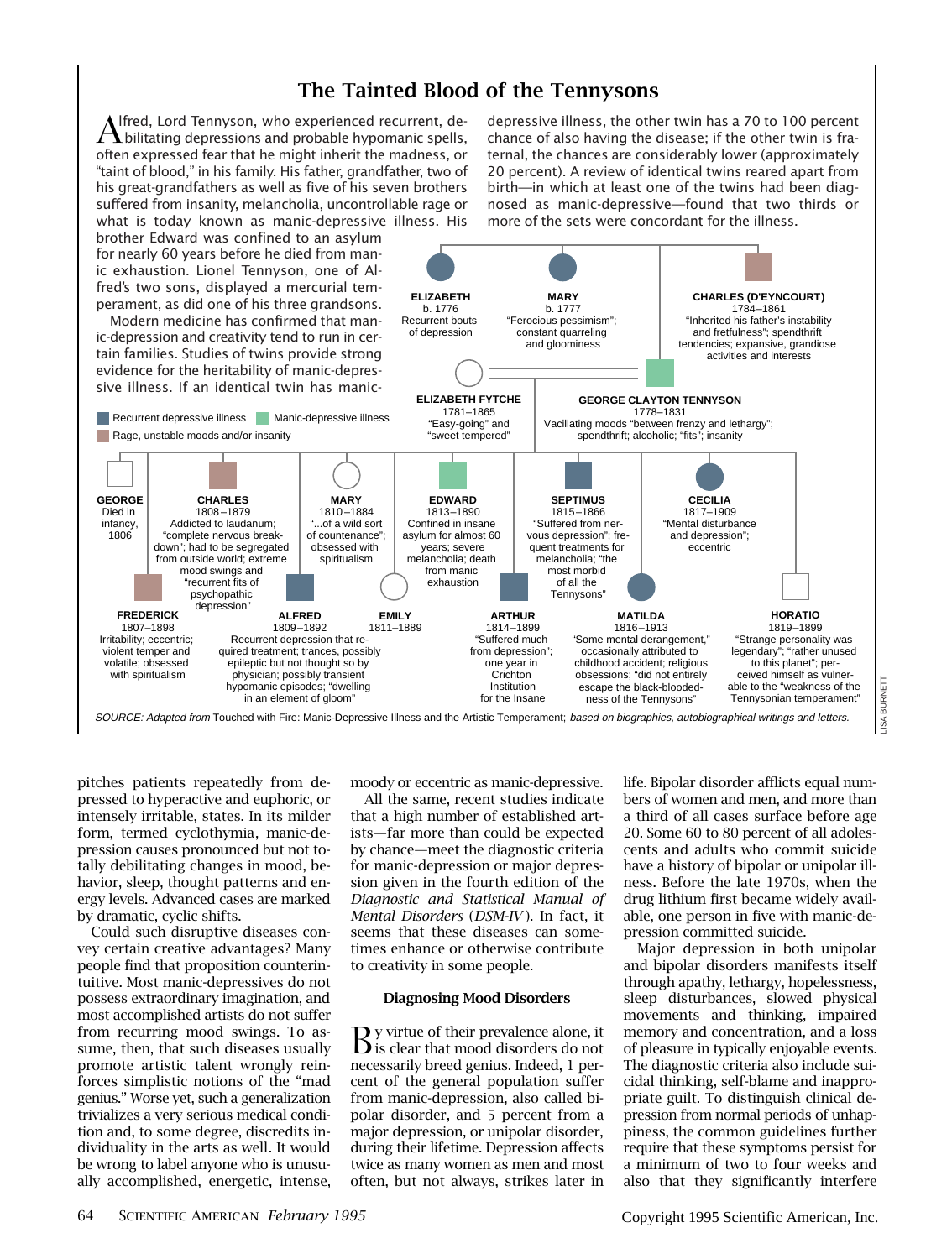# The Tainted Blood of the Tennysons

Alfred, Lord Tennyson, who experienced recurrent, de-<br>bilitating depressions and probable hypomanic spells, often expressed fear that he might inherit the madness, or "taint of blood," in his family. His father, grandfather, two of his great-grandfathers as well as five of his seven brothers suffered from insanity, melancholia, uncontrollable rage or what is today known as manic-depressive illness. His

depressive illness, the other twin has a 70 to 100 percent chance of also having the disease; if the other twin is fraternal, the chances are considerably lower (approximately 20 percent). A review of identical twins reared apart from birth—in which at least one of the twins had been diagnosed as manic-depressive—found that two thirds or more of the sets were concordant for the illness.



pitches patients repeatedly from depressed to hyperactive and euphoric, or intensely irritable, states. In its milder form, termed cyclothymia, manic-depression causes pronounced but not totally debilitating changes in mood, behavior, sleep, thought patterns and energy levels. Advanced cases are marked by dramatic, cyclic shifts.

Could such disruptive diseases convey certain creative advantages? Many people find that proposition counterintuitive. Most manic-depressives do not possess extraordinary imagination, and most accomplished artists do not suffer from recurring mood swings. To assume, then, that such diseases usually promote artistic talent wrongly reinforces simplistic notions of the "mad genius." Worse yet, such a generalization trivializes a very serious medical condition and, to some degree, discredits individuality in the arts as well. It would be wrong to label anyone who is unusually accomplished, energetic, intense, moody or eccentric as manic-depressive.

All the same, recent studies indicate that a high number of established artists—far more than could be expected by chance—meet the diagnostic criteria for manic-depression or major depression given in the fourth edition of the *Diagnostic and Statistical Manual of Mental Disorders* (*DSM-IV* ). In fact, it seems that these diseases can sometimes enhance or otherwise contribute to creativity in some people.

### Diagnosing Mood Disorders

By virtue of their prevalence alone, it is clear that mood disorders do not necessarily breed genius. Indeed, 1 percent of the general population suffer from manic-depression, also called bipolar disorder, and 5 percent from a major depression, or unipolar disorder, during their lifetime. Depression affects twice as many women as men and most often, but not always, strikes later in life. Bipolar disorder afflicts equal numbers of women and men, and more than a third of all cases surface before age 20. Some 60 to 80 percent of all adolescents and adults who commit suicide have a history of bipolar or unipolar illness. Before the late 1970s, when the drug lithium first became widely available, one person in five with manic-depression committed suicide.

Major depression in both unipolar and bipolar disorders manifests itself through apathy, lethargy, hopelessness, sleep disturbances, slowed physical movements and thinking, impaired memory and concentration, and a loss of pleasure in typically enjoyable events. The diagnostic criteria also include suicidal thinking, self-blame and inappropriate guilt. To distinguish clinical depression from normal periods of unhappiness, the common guidelines further require that these symptoms persist for a minimum of two to four weeks and also that they significantly interfere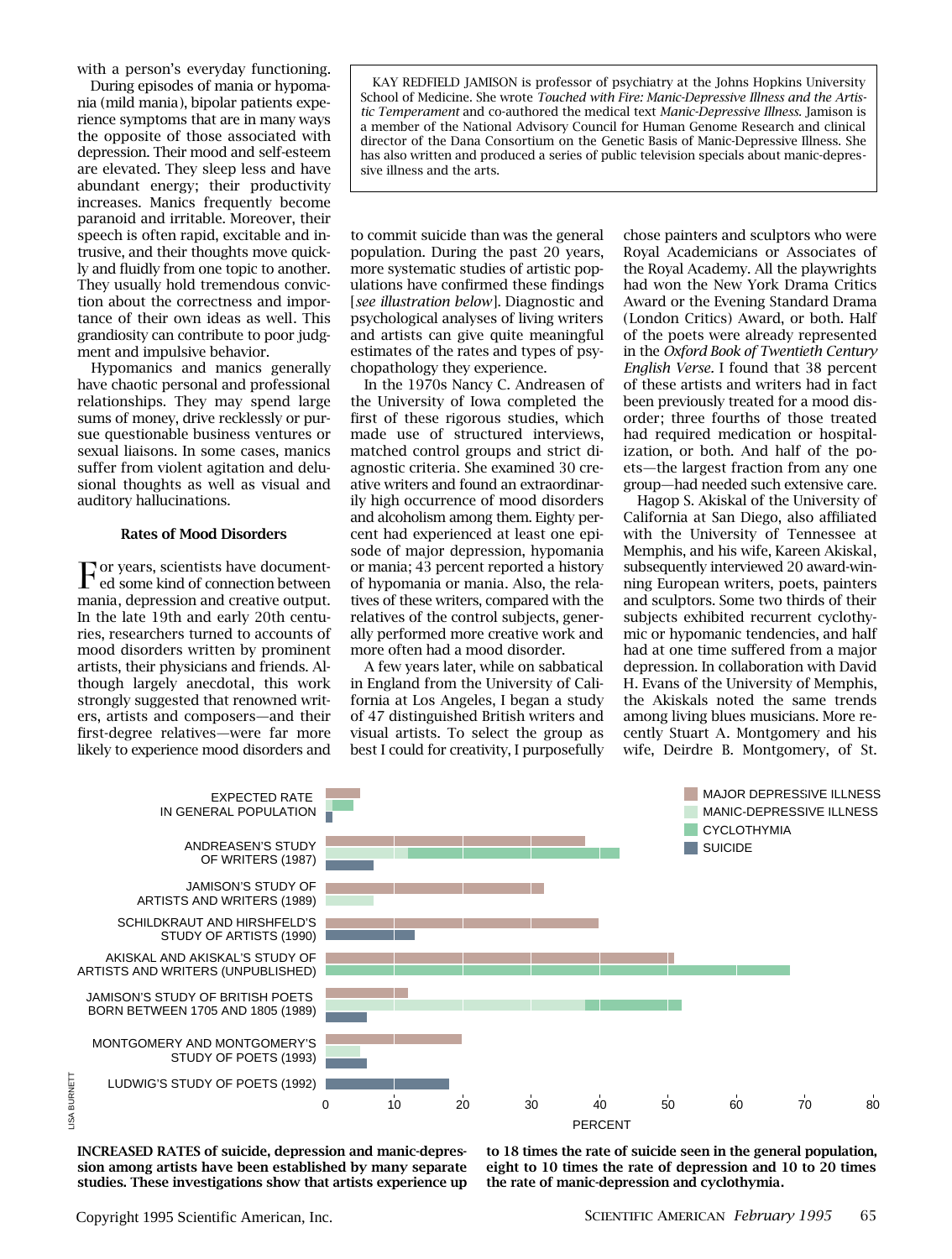with a person's everyday functioning.

During episodes of mania or hypomania (mild mania), bipolar patients experience symptoms that are in many ways the opposite of those associated with depression. Their mood and self-esteem are elevated. They sleep less and have abundant energy; their productivity increases. Manics frequently become paranoid and irritable. Moreover, their speech is often rapid, excitable and intrusive, and their thoughts move quickly and fluidly from one topic to another. They usually hold tremendous conviction about the correctness and importance of their own ideas as well. This grandiosity can contribute to poor judgment and impulsive behavior.

Hypomanics and manics generally have chaotic personal and professional relationships. They may spend large sums of money, drive recklessly or pursue questionable business ventures or sexual liaisons. In some cases, manics suffer from violent agitation and delusional thoughts as well as visual and auditory hallucinations.

# Rates of Mood Disorders

For years, scientists have document-ed some kind of connection between mania, depression and creative output. In the late 19th and early 20th centuries, researchers turned to accounts of mood disorders written by prominent artists, their physicians and friends. Although largely anecdotal, this work strongly suggested that renowned writers, artists and composers—and their first-degree relatives—were far more likely to experience mood disorders and

KAY REDFIELD JAMISON is professor of psychiatry at the Johns Hopkins University School of Medicine. She wrote *Touched with Fire: Manic-Depressive Illness and the Artistic Temperament* and co-authored the medical text *Manic-Depressive Illness.* Jamison is a member of the National Advisory Council for Human Genome Research and clinical director of the Dana Consortium on the Genetic Basis of Manic-Depressive Illness. She has also written and produced a series of public television specials about manic-depressive illness and the arts.

to commit suicide than was the general population. During the past 20 years, more systematic studies of artistic populations have confirmed these findings [*see illustration below*]. Diagnostic and psychological analyses of living writers and artists can give quite meaningful estimates of the rates and types of psychopathology they experience.

In the 1970s Nancy C. Andreasen of the University of Iowa completed the first of these rigorous studies, which made use of structured interviews, matched control groups and strict diagnostic criteria. She examined 30 creative writers and found an extraordinarily high occurrence of mood disorders and alcoholism among them. Eighty percent had experienced at least one episode of major depression, hypomania or mania; 43 percent reported a history of hypomania or mania. Also, the relatives of these writers, compared with the relatives of the control subjects, generally performed more creative work and more often had a mood disorder.

A few years later, while on sabbatical in England from the University of California at Los Angeles, I began a study of 47 distinguished British writers and visual artists. To select the group as best I could for creativity, I purposefully chose painters and sculptors who were Royal Academicians or Associates of the Royal Academy. All the playwrights had won the New York Drama Critics Award or the Evening Standard Drama (London Critics) Award, or both. Half of the poets were already represented in the *Oxford Book of Twentieth Century English Verse.* I found that 38 percent of these artists and writers had in fact been previously treated for a mood disorder; three fourths of those treated had required medication or hospitalization, or both. And half of the poets—the largest fraction from any one group—had needed such extensive care.

Hagop S. Akiskal of the University of California at San Diego, also affiliated with the University of Tennessee at Memphis, and his wife, Kareen Akiskal, subsequently interviewed 20 award-winning European writers, poets, painters and sculptors. Some two thirds of their subjects exhibited recurrent cyclothymic or hypomanic tendencies, and half had at one time suffered from a major depression. In collaboration with David H. Evans of the University of Memphis, the Akiskals noted the same trends among living blues musicians. More recently Stuart A. Montgomery and his wife, Deirdre B. Montgomery, of St.



INCREASED RATES of suicide, depression and manic-depression among artists have been established by many separate studies. These investigations show that artists experience up to 18 times the rate of suicide seen in the general population, eight to 10 times the rate of depression and 10 to 20 times the rate of manic-depression and cyclothymia.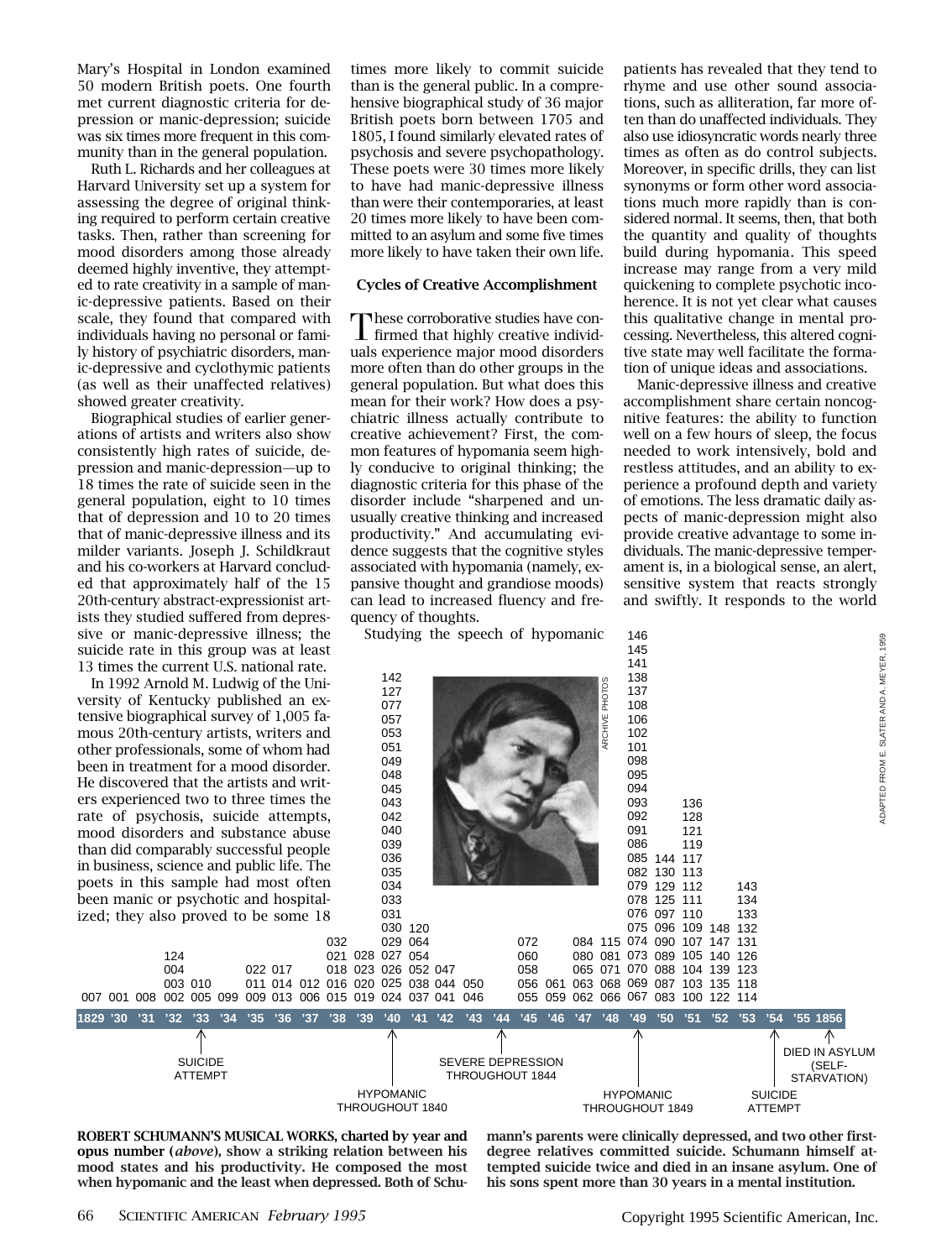Mary's Hospital in London examined 50 modern British poets. One fourth met current diagnostic criteria for depression or manic-depression; suicide was six times more frequent in this community than in the general population.

Ruth L. Richards and her colleagues at Harvard University set up a system for assessing the degree of original thinking required to perform certain creative tasks. Then, rather than screening for mood disorders among those already deemed highly inventive, they attempted to rate creativity in a sample of manic-depressive patients. Based on their scale, they found that compared with individuals having no personal or family history of psychiatric disorders, manic-depressive and cyclothymic patients (as well as their unaffected relatives) showed greater creativity.

Biographical studies of earlier generations of artists and writers also show consistently high rates of suicide, depression and manic-depression—up to 18 times the rate of suicide seen in the general population, eight to 10 times that of depression and 10 to 20 times that of manic-depressive illness and its milder variants. Joseph J. Schildkraut and his co-workers at Harvard concluded that approximately half of the 15 20th-century abstract-expressionist artists they studied suffered from depressive or manic-depressive illness; the suicide rate in this group was at least 13 times the current U.S. national rate.

In 1992 Arnold M. Ludwig of the University of Kentucky published an extensive biographical survey of 1,005 famous 20th-century artists, writers and other professionals, some of whom had been in treatment for a mood disorder. He discovered that the artists and writers experienced two to three times the rate of psychosis, suicide attempts, mood disorders and substance abuse than did comparably successful people in business, science and public life. The poets in this sample had most often been manic or psychotic and hospitalized; they also proved to be some 18

times more likely to commit suicide than is the general public. In a comprehensive biographical study of 36 major British poets born between 1705 and 1805, I found similarly elevated rates of psychosis and severe psychopathology. These poets were 30 times more likely to have had manic-depressive illness than were their contemporaries, at least 20 times more likely to have been committed to an asylum and some five times more likely to have taken their own life.

#### Cycles of Creative Accomplishment

These corroborative studies have con-<br>firmed that highly creative individuals experience major mood disorders more often than do other groups in the general population. But what does this mean for their work? How does a psychiatric illness actually contribute to creative achievement? First, the common features of hypomania seem highly conducive to original thinking; the diagnostic criteria for this phase of the disorder include "sharpened and unusually creative thinking and increased productivity." And accumulating evidence suggests that the cognitive styles associated with hypomania (namely, expansive thought and grandiose moods) can lead to increased fluency and frequency of thoughts.

Studying the speech of hypomanic

patients has revealed that they tend to rhyme and use other sound associations, such as alliteration, far more often than do unaffected individuals. They also use idiosyncratic words nearly three times as often as do control subjects. Moreover, in specific drills, they can list synonyms or form other word associations much more rapidly than is considered normal. It seems, then, that both the quantity and quality of thoughts build during hypomania. This speed increase may range from a very mild quickening to complete psychotic incoherence. It is not yet clear what causes this qualitative change in mental processing. Nevertheless, this altered cognitive state may well facilitate the formation of unique ideas and associations.

Manic-depressive illness and creative accomplishment share certain noncognitive features: the ability to function well on a few hours of sleep, the focus needed to work intensively, bold and restless attitudes, and an ability to experience a profound depth and variety of emotions. The less dramatic daily aspects of manic-depression might also provide creative advantage to some individuals. The manic-depressive temperament is, in a biological sense, an alert, sensitive system that reacts strongly and swiftly. It responds to the world

146



ROBERT SCHUMANN'S MUSICAL WORKS, charted by year and opus number (*above*), show a striking relation between his mood states and his productivity. He composed the most when hypomanic and the least when depressed. Both of Schu-

mann's parents were clinically depressed, and two other firstdegree relatives committed suicide. Schumann himself attempted suicide twice and died in an insane asylum. One of his sons spent more than 30 years in a mental institution.